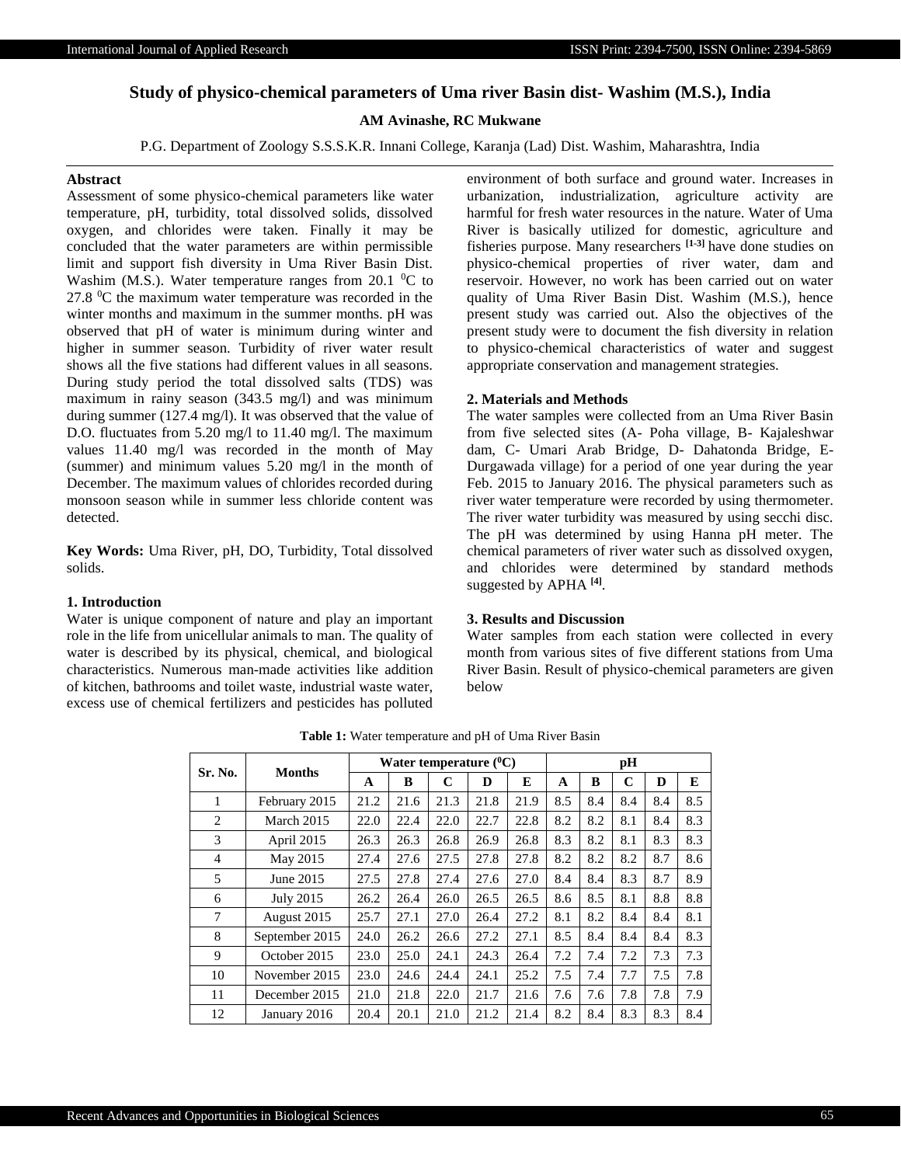# **Study of physico-chemical parameters of Uma river Basin dist- Washim (M.S.), India**

# **AM Avinashe, RC Mukwane**

P.G. Department of Zoology S.S.S.K.R. Innani College, Karanja (Lad) Dist. Washim, Maharashtra, India

### **Abstract**

Assessment of some physico-chemical parameters like water temperature, pH, turbidity, total dissolved solids, dissolved oxygen, and chlorides were taken. Finally it may be concluded that the water parameters are within permissible limit and support fish diversity in Uma River Basin Dist. Washim (M.S.). Water temperature ranges from 20.1  $^0C$  to  $27.8 \, \text{°C}$  the maximum water temperature was recorded in the winter months and maximum in the summer months. pH was observed that pH of water is minimum during winter and higher in summer season. Turbidity of river water result shows all the five stations had different values in all seasons. During study period the total dissolved salts (TDS) was maximum in rainy season (343.5 mg/l) and was minimum during summer (127.4 mg/l). It was observed that the value of D.O. fluctuates from 5.20 mg/l to 11.40 mg/l. The maximum values 11.40 mg/l was recorded in the month of May (summer) and minimum values 5.20 mg/l in the month of December. The maximum values of chlorides recorded during monsoon season while in summer less chloride content was detected.

**Key Words:** Uma River, pH, DO, Turbidity, Total dissolved solids.

#### **1. Introduction**

Water is unique component of nature and play an important role in the life from unicellular animals to man. The quality of water is described by its physical, chemical, and biological characteristics. Numerous man-made activities like addition of kitchen, bathrooms and toilet waste, industrial waste water, excess use of chemical fertilizers and pesticides has polluted environment of both surface and ground water. Increases in urbanization, industrialization, agriculture activity are harmful for fresh water resources in the nature. Water of Uma River is basically utilized for domestic, agriculture and fisheries purpose. Many researchers **[1-3]** have done studies on physico-chemical properties of river water, dam and reservoir. However, no work has been carried out on water quality of Uma River Basin Dist. Washim (M.S.), hence present study was carried out. Also the objectives of the present study were to document the fish diversity in relation to physico-chemical characteristics of water and suggest appropriate conservation and management strategies.

#### **2. Materials and Methods**

The water samples were collected from an Uma River Basin from five selected sites (A- Poha village, B- Kajaleshwar dam, C- Umari Arab Bridge, D- Dahatonda Bridge, E-Durgawada village) for a period of one year during the year Feb. 2015 to January 2016. The physical parameters such as river water temperature were recorded by using thermometer. The river water turbidity was measured by using secchi disc. The pH was determined by using Hanna pH meter. The chemical parameters of river water such as dissolved oxygen, and chlorides were determined by standard methods suggested by APHA **[4]** .

## **3. Results and Discussion**

Water samples from each station were collected in every month from various sites of five different stations from Uma River Basin. Result of physico-chemical parameters are given below

| Sr. No.        | <b>Months</b>  | Water temperature $(^0C)$ |      |             |      |      |     | pH  |     |     |     |  |
|----------------|----------------|---------------------------|------|-------------|------|------|-----|-----|-----|-----|-----|--|
|                |                | A                         | B    | $\mathbf C$ | D    | E    | A   | B   | C   | D   | E   |  |
| 1              | February 2015  | 21.2                      | 21.6 | 21.3        | 21.8 | 21.9 | 8.5 | 8.4 | 8.4 | 8.4 | 8.5 |  |
| 2              | March 2015     | 22.0                      | 22.4 | 22.0        | 22.7 | 22.8 | 8.2 | 8.2 | 8.1 | 8.4 | 8.3 |  |
| 3              | April 2015     | 26.3                      | 26.3 | 26.8        | 26.9 | 26.8 | 8.3 | 8.2 | 8.1 | 8.3 | 8.3 |  |
| $\overline{4}$ | May 2015       | 27.4                      | 27.6 | 27.5        | 27.8 | 27.8 | 8.2 | 8.2 | 8.2 | 8.7 | 8.6 |  |
| 5              | June 2015      | 27.5                      | 27.8 | 27.4        | 27.6 | 27.0 | 8.4 | 8.4 | 8.3 | 8.7 | 8.9 |  |
| 6              | July 2015      | 26.2                      | 26.4 | 26.0        | 26.5 | 26.5 | 8.6 | 8.5 | 8.1 | 8.8 | 8.8 |  |
| 7              | August 2015    | 25.7                      | 27.1 | 27.0        | 26.4 | 27.2 | 8.1 | 8.2 | 8.4 | 8.4 | 8.1 |  |
| 8              | September 2015 | 24.0                      | 26.2 | 26.6        | 27.2 | 27.1 | 8.5 | 8.4 | 8.4 | 8.4 | 8.3 |  |
| 9              | October 2015   | 23.0                      | 25.0 | 24.1        | 24.3 | 26.4 | 7.2 | 7.4 | 7.2 | 7.3 | 7.3 |  |
| 10             | November 2015  | 23.0                      | 24.6 | 24.4        | 24.1 | 25.2 | 7.5 | 7.4 | 7.7 | 7.5 | 7.8 |  |
| 11             | December 2015  | 21.0                      | 21.8 | 22.0        | 21.7 | 21.6 | 7.6 | 7.6 | 7.8 | 7.8 | 7.9 |  |
| 12             | January 2016   | 20.4                      | 20.1 | 21.0        | 21.2 | 21.4 | 8.2 | 8.4 | 8.3 | 8.3 | 8.4 |  |

**Table 1:** Water temperature and pH of Uma River Basin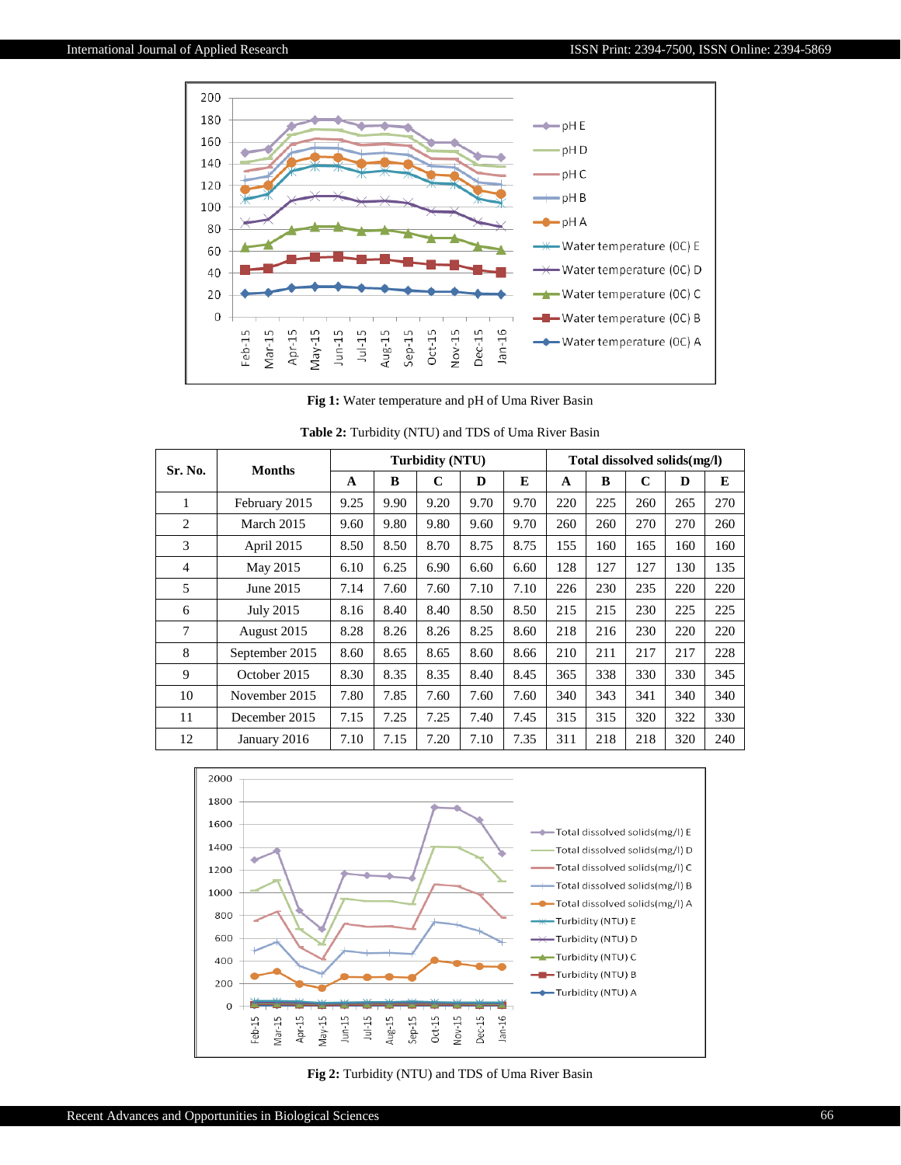

**Fig 1:** Water temperature and pH of Uma River Basin

| Sr. No. | <b>Months</b>  | <b>Turbidity (NTU)</b> |      |             |      |      | Total dissolved solids(mg/l) |     |     |     |     |
|---------|----------------|------------------------|------|-------------|------|------|------------------------------|-----|-----|-----|-----|
|         |                | $\mathbf{A}$           | B    | $\mathbf C$ | D    | E    | $\mathbf{A}$                 | B   | C   | D   | E   |
| 1       | February 2015  | 9.25                   | 9.90 | 9.20        | 9.70 | 9.70 | 220                          | 225 | 260 | 265 | 270 |
| 2       | March 2015     | 9.60                   | 9.80 | 9.80        | 9.60 | 9.70 | 260                          | 260 | 270 | 270 | 260 |
| 3       | April 2015     | 8.50                   | 8.50 | 8.70        | 8.75 | 8.75 | 155                          | 160 | 165 | 160 | 160 |
| 4       | May 2015       | 6.10                   | 6.25 | 6.90        | 6.60 | 6.60 | 128                          | 127 | 127 | 130 | 135 |
| 5       | June 2015      | 7.14                   | 7.60 | 7.60        | 7.10 | 7.10 | 226                          | 230 | 235 | 220 | 220 |
| 6       | July 2015      | 8.16                   | 8.40 | 8.40        | 8.50 | 8.50 | 215                          | 215 | 230 | 225 | 225 |
| $\tau$  | August 2015    | 8.28                   | 8.26 | 8.26        | 8.25 | 8.60 | 218                          | 216 | 230 | 220 | 220 |
| 8       | September 2015 | 8.60                   | 8.65 | 8.65        | 8.60 | 8.66 | 210                          | 211 | 217 | 217 | 228 |
| 9       | October 2015   | 8.30                   | 8.35 | 8.35        | 8.40 | 8.45 | 365                          | 338 | 330 | 330 | 345 |
| 10      | November 2015  | 7.80                   | 7.85 | 7.60        | 7.60 | 7.60 | 340                          | 343 | 341 | 340 | 340 |
| 11      | December 2015  | 7.15                   | 7.25 | 7.25        | 7.40 | 7.45 | 315                          | 315 | 320 | 322 | 330 |
| 12      | January 2016   | 7.10                   | 7.15 | 7.20        | 7.10 | 7.35 | 311                          | 218 | 218 | 320 | 240 |

| <b>Table 2:</b> Turbidity (NTU) and TDS of Uma River Basin |  |  |  |
|------------------------------------------------------------|--|--|--|
|------------------------------------------------------------|--|--|--|



**Fig 2:** Turbidity (NTU) and TDS of Uma River Basin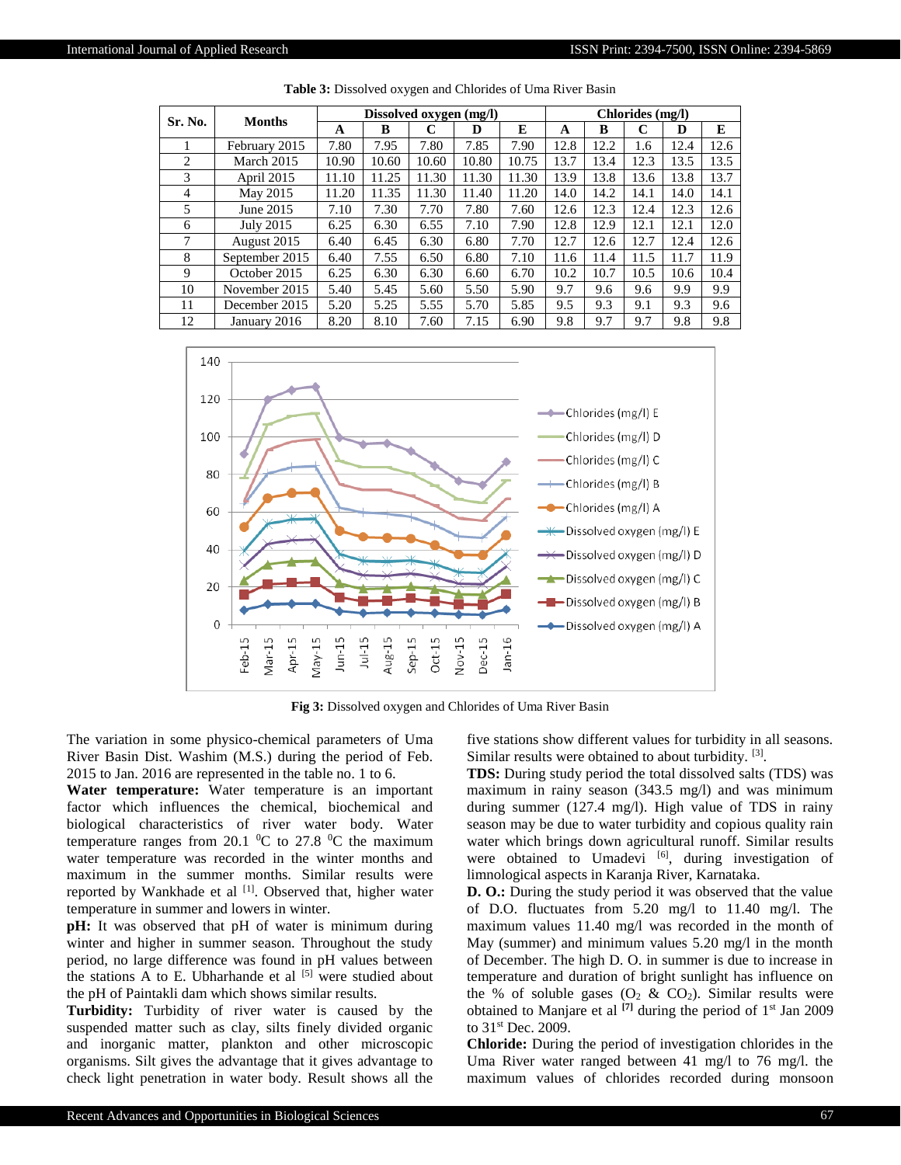| Sr. No.        | <b>Months</b>  | Dissolved oxygen (mg/l) |       |       |       |       | Chlorides (mg/l) |      |      |      |      |
|----------------|----------------|-------------------------|-------|-------|-------|-------|------------------|------|------|------|------|
|                |                | A                       | B     | C     | D     | E     | A                | B    | C    | D    | E    |
|                | February 2015  | 7.80                    | 7.95  | 7.80  | 7.85  | 7.90  | 12.8             | 12.2 | 1.6  | 12.4 | 12.6 |
| 2              | March 2015     | 10.90                   | 10.60 | 10.60 | 10.80 | 10.75 | 13.7             | 13.4 | 12.3 | 13.5 | 13.5 |
| 3              | April 2015     | 11.10                   | 11.25 | 11.30 | 11.30 | 11.30 | 13.9             | 13.8 | 13.6 | 13.8 | 13.7 |
| $\overline{4}$ | May 2015       | 11.20                   | 11.35 | 11.30 | 11.40 | 11.20 | 14.0             | 14.2 | 14.1 | 14.0 | 14.1 |
| 5              | June 2015      | 7.10                    | 7.30  | 7.70  | 7.80  | 7.60  | 12.6             | 12.3 | 12.4 | 12.3 | 12.6 |
| 6              | July 2015      | 6.25                    | 6.30  | 6.55  | 7.10  | 7.90  | 12.8             | 12.9 | 12.1 | 12.1 | 12.0 |
| $\tau$         | August 2015    | 6.40                    | 6.45  | 6.30  | 6.80  | 7.70  | 12.7             | 12.6 | 12.7 | 12.4 | 12.6 |
| 8              | September 2015 | 6.40                    | 7.55  | 6.50  | 6.80  | 7.10  | 11.6             | 11.4 | 11.5 | 11.7 | 11.9 |
| 9              | October 2015   | 6.25                    | 6.30  | 6.30  | 6.60  | 6.70  | 10.2             | 10.7 | 10.5 | 10.6 | 10.4 |
| 10             | November 2015  | 5.40                    | 5.45  | 5.60  | 5.50  | 5.90  | 9.7              | 9.6  | 9.6  | 9.9  | 9.9  |
| 11             | December 2015  | 5.20                    | 5.25  | 5.55  | 5.70  | 5.85  | 9.5              | 9.3  | 9.1  | 9.3  | 9.6  |
| 12             | January 2016   | 8.20                    | 8.10  | 7.60  | 7.15  | 6.90  | 9.8              | 9.7  | 9.7  | 9.8  | 9.8  |

**Table 3:** Dissolved oxygen and Chlorides of Uma River Basin



**Fig 3:** Dissolved oxygen and Chlorides of Uma River Basin

The variation in some physico-chemical parameters of Uma River Basin Dist. Washim (M.S.) during the period of Feb. 2015 to Jan. 2016 are represented in the table no. 1 to 6.

**Water temperature:** Water temperature is an important factor which influences the chemical, biochemical and biological characteristics of river water body. Water temperature ranges from 20.1  $^0C$  to 27.8  $^0C$  the maximum water temperature was recorded in the winter months and maximum in the summer months. Similar results were reported by Wankhade et al [1]. Observed that, higher water temperature in summer and lowers in winter.

**pH:** It was observed that pH of water is minimum during winter and higher in summer season. Throughout the study period, no large difference was found in pH values between the stations  $\overline{A}$  to E. Ubharhande et al  $[5]$  were studied about the pH of Paintakli dam which shows similar results.

**Turbidity:** Turbidity of river water is caused by the suspended matter such as clay, silts finely divided organic and inorganic matter, plankton and other microscopic organisms. Silt gives the advantage that it gives advantage to check light penetration in water body. Result shows all the five stations show different values for turbidity in all seasons. Similar results were obtained to about turbidity. [3].

**TDS:** During study period the total dissolved salts (TDS) was maximum in rainy season (343.5 mg/l) and was minimum during summer (127.4 mg/l). High value of TDS in rainy season may be due to water turbidity and copious quality rain water which brings down agricultural runoff. Similar results were obtained to Umadevi  $[6]$ , during investigation of limnological aspects in Karanja River, Karnataka.

**D. O.:** During the study period it was observed that the value of D.O. fluctuates from 5.20 mg/l to 11.40 mg/l. The maximum values 11.40 mg/l was recorded in the month of May (summer) and minimum values 5.20 mg/l in the month of December. The high D. O. in summer is due to increase in temperature and duration of bright sunlight has influence on the % of soluble gases  $(O_2 \& CO_2)$ . Similar results were obtained to Manjare et al **[7]** during the period of 1st Jan 2009 to 31st Dec. 2009.

**Chloride:** During the period of investigation chlorides in the Uma River water ranged between 41 mg/l to 76 mg/l. the maximum values of chlorides recorded during monsoon